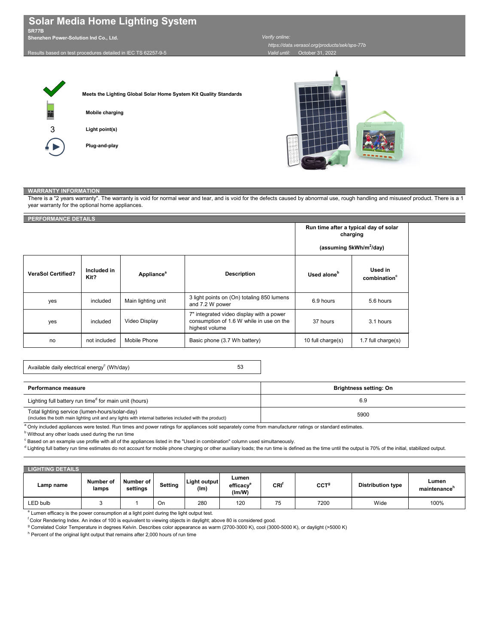| <b>LIGHTING DETAILS</b> |                           |                       |                |                      |                                          |                             |                  |                          |                       |
|-------------------------|---------------------------|-----------------------|----------------|----------------------|------------------------------------------|-----------------------------|------------------|--------------------------|-----------------------|
| Lamp name               | <b>Number of</b><br>lamps | Number of<br>settings | <b>Setting</b> | Light output<br>(lm) | Lumen<br>efficacy <sup>e</sup><br>(lm/W) | $\mathsf{CRI}^{\mathsf{T}}$ | CCT <sup>g</sup> | <b>Distribution type</b> | Lumen<br>maintenance' |
| LED bulb                |                           |                       | On             | 280                  | 120                                      | 75                          | 7200             | Wide                     | 100%                  |

<sup>e</sup> Lumen efficacy is the power consumption at a light point during the light output test.

<sup>f</sup> Color Rendering Index. An index of 100 is equivalent to viewing objects in daylight; above 80 is considered good.

<sup>g</sup> Correlated Color Temperature in degrees Kelvin. Describes color appearance as warm (2700-3000 K), cool (3000-5000 K), or daylight (>5000 K)

 $^{\mathsf{h}}$  Percent of the original light output that remains after 2,000 hours of run time

5900

<sup>a</sup> Only included appliances were tested. Run times and power ratings for appliances sold separately come from manufacturer ratings or standard estimates.

 $^{\rm b}$  Without any other loads used during the run time

 $^\mathrm{c}$  Based on an example use profile with all of the appliances listed in the "Used in combination" column used simultaneously.

<sup>d</sup> Lighting full battery run time estimates do not account for mobile phone charging or other auxiliary loads; the run time is defined as the time until the output is 70% of the initial, stabilized output.





| Available daily electrical energy <sup>c</sup> (Wh/day) |  |
|---------------------------------------------------------|--|
|---------------------------------------------------------|--|

There is a "2 years warranty". The warranty is void for normal wear and tear, and is void for the defects caused by abnormal use, rough handling and misuseof product. There is a 1 year warranty for the optional home appliances.

|                           |                     |                        |                                                                                                        | charging                | Run time after a typical day of solar<br>(assuming 5kWh/m <sup>2</sup> /day) |
|---------------------------|---------------------|------------------------|--------------------------------------------------------------------------------------------------------|-------------------------|------------------------------------------------------------------------------|
| <b>VeraSol Certified?</b> | Included in<br>Kit? | Appliance <sup>a</sup> | <b>Description</b>                                                                                     | Used alone <sup>b</sup> | Used in<br>combination <sup>c</sup>                                          |
| yes                       | included            | Main lighting unit     | 3 light points on (On) totaling 850 lumens<br>and 7.2 W power                                          | 6.9 hours               | 5.6 hours                                                                    |
| yes                       | included            | <b>Video Display</b>   | 7" integrated video display with a power<br>consumption of 1.6 W while in use on the<br>highest volume | 37 hours                | 3.1 hours                                                                    |
| no                        | not included        | Mobile Phone           | Basic phone (3.7 Wh battery)                                                                           | 10 full charge(s)       | 1.7 full charge $(s)$                                                        |

# **Solar Media Home Lighting System**

## **SR77B**

6.9 **Brightness setting: On** Lighting full battery run time $^{\text{\tiny d}}$  for main unit (hours) **Performance measure**

**Shenzhen Power-Solution Ind Co., Ltd.** 

| <b>PERFORMANCE DETAILS</b> |  |
|----------------------------|--|
|                            |  |

#### Results based on test procedures detailed in IEC TS 62257-9-5

## *Verify online:*

| Total lighting service (lumen-hours/solar-day) |  |                                                                                                         |
|------------------------------------------------|--|---------------------------------------------------------------------------------------------------------|
|                                                |  | (includes the both main lighting unit and any lights with internal batteries included with the product) |

 *https://data.verasol.org/products/sek/sps-77b Valid until:* October 31, 2022

### **WARRANTY INFORMATION**